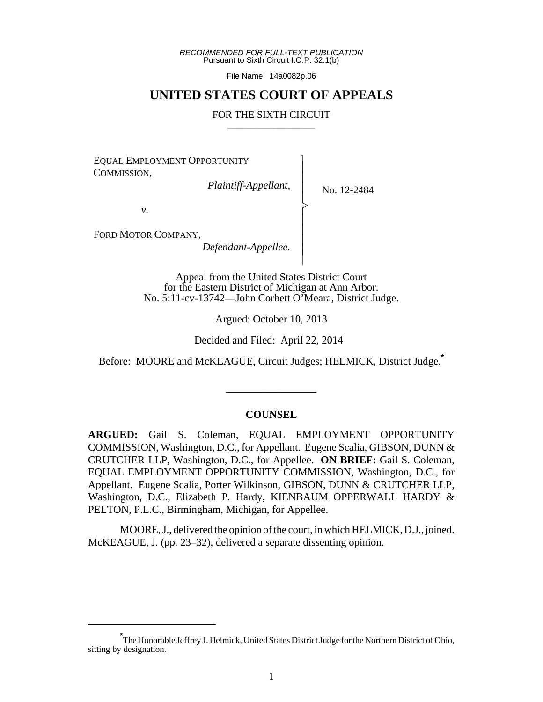*RECOMMENDED FOR FULL-TEXT PUBLICATION* Pursuant to Sixth Circuit I.O.P. 32.1(b)

File Name: 14a0082p.06

# **UNITED STATES COURT OF APPEALS**

#### FOR THE SIXTH CIRCUIT

 $\overline{\phantom{a}}$ - - - > , - - - - N

EQUAL EMPLOYMENT OPPORTUNITY COMMISSION,

*Plaintiff-Appellant*,

No. 12-2484

*v.*

FORD MOTOR COMPANY,

*Defendant-Appellee.*

Appeal from the United States District Court for the Eastern District of Michigan at Ann Arbor. No. 5:11-cv-13742—John Corbett O'Meara, District Judge.

Argued: October 10, 2013

Decided and Filed: April 22, 2014

Before: MOORE and McKEAGUE, Circuit Judges; HELMICK, District Judge.**\***

\_\_\_\_\_\_\_\_\_\_\_\_\_\_\_\_\_

## **COUNSEL**

**ARGUED:** Gail S. Coleman, EQUAL EMPLOYMENT OPPORTUNITY COMMISSION, Washington, D.C., for Appellant. Eugene Scalia, GIBSON, DUNN & CRUTCHER LLP, Washington, D.C., for Appellee. **ON BRIEF:** Gail S. Coleman, EQUAL EMPLOYMENT OPPORTUNITY COMMISSION, Washington, D.C., for Appellant. Eugene Scalia, Porter Wilkinson, GIBSON, DUNN & CRUTCHER LLP, Washington, D.C., Elizabeth P. Hardy, KIENBAUM OPPERWALL HARDY & PELTON, P.L.C., Birmingham, Michigan, for Appellee.

MOORE, J., delivered the opinion of the court, in which HELMICK, D.J., joined. McKEAGUE, J. (pp. 23–32), delivered a separate dissenting opinion.

**<sup>\*</sup>** The Honorable Jeffrey J. Helmick, United States District Judge for the Northern District of Ohio, sitting by designation.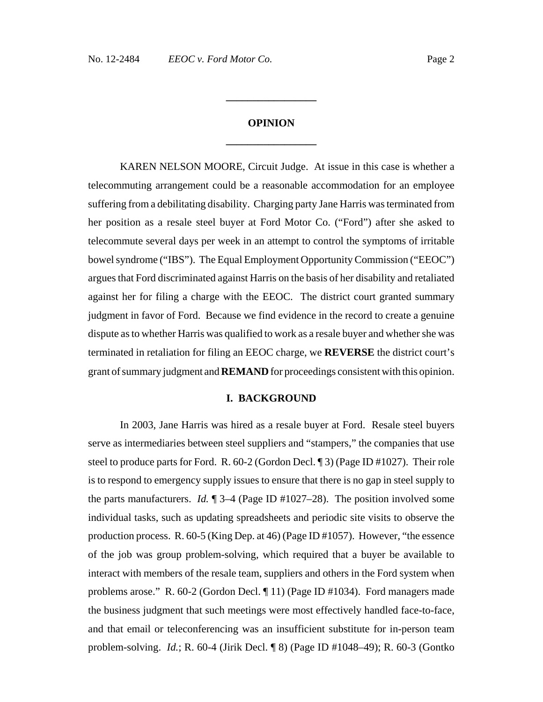# **OPINION \_\_\_\_\_\_\_\_\_\_\_\_\_\_\_\_\_**

**\_\_\_\_\_\_\_\_\_\_\_\_\_\_\_\_\_**

KAREN NELSON MOORE, Circuit Judge. At issue in this case is whether a telecommuting arrangement could be a reasonable accommodation for an employee suffering from a debilitating disability. Charging party Jane Harris was terminated from her position as a resale steel buyer at Ford Motor Co. ("Ford") after she asked to telecommute several days per week in an attempt to control the symptoms of irritable bowel syndrome ("IBS"). The Equal Employment Opportunity Commission ("EEOC") argues that Ford discriminated against Harris on the basis of her disability and retaliated against her for filing a charge with the EEOC. The district court granted summary judgment in favor of Ford. Because we find evidence in the record to create a genuine dispute as to whether Harris was qualified to work as a resale buyer and whether she was terminated in retaliation for filing an EEOC charge, we **REVERSE** the district court's grant of summary judgment and **REMAND** for proceedings consistent with this opinion.

#### **I. BACKGROUND**

In 2003, Jane Harris was hired as a resale buyer at Ford. Resale steel buyers serve as intermediaries between steel suppliers and "stampers," the companies that use steel to produce parts for Ford. R. 60-2 (Gordon Decl. ¶ 3) (Page ID #1027). Their role is to respond to emergency supply issues to ensure that there is no gap in steel supply to the parts manufacturers. *Id.* ¶ 3–4 (Page ID #1027–28). The position involved some individual tasks, such as updating spreadsheets and periodic site visits to observe the production process. R. 60-5 (King Dep. at 46) (Page ID #1057). However, "the essence of the job was group problem-solving, which required that a buyer be available to interact with members of the resale team, suppliers and others in the Ford system when problems arose." R. 60-2 (Gordon Decl. ¶ 11) (Page ID #1034). Ford managers made the business judgment that such meetings were most effectively handled face-to-face, and that email or teleconferencing was an insufficient substitute for in-person team problem-solving. *Id.*; R. 60-4 (Jirik Decl. ¶ 8) (Page ID #1048–49); R. 60-3 (Gontko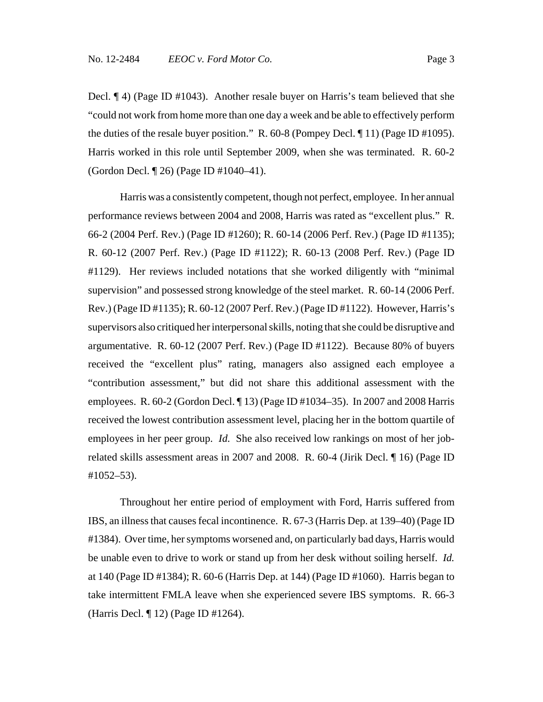Decl. ¶ 4) (Page ID #1043). Another resale buyer on Harris's team believed that she "could not work from home more than one day a week and be able to effectively perform the duties of the resale buyer position." R. 60-8 (Pompey Decl. ¶ 11) (Page ID #1095). Harris worked in this role until September 2009, when she was terminated. R. 60-2 (Gordon Decl. ¶ 26) (Page ID #1040–41).

Harris was a consistently competent, though not perfect, employee. In her annual performance reviews between 2004 and 2008, Harris was rated as "excellent plus." R. 66-2 (2004 Perf. Rev.) (Page ID #1260); R. 60-14 (2006 Perf. Rev.) (Page ID #1135); R. 60-12 (2007 Perf. Rev.) (Page ID #1122); R. 60-13 (2008 Perf. Rev.) (Page ID #1129). Her reviews included notations that she worked diligently with "minimal supervision" and possessed strong knowledge of the steel market. R. 60-14 (2006 Perf. Rev.) (Page ID #1135); R. 60-12 (2007 Perf. Rev.) (Page ID #1122). However, Harris's supervisors also critiqued her interpersonal skills, noting that she could be disruptive and argumentative. R. 60-12 (2007 Perf. Rev.) (Page ID #1122). Because 80% of buyers received the "excellent plus" rating, managers also assigned each employee a "contribution assessment," but did not share this additional assessment with the employees. R. 60-2 (Gordon Decl. ¶ 13) (Page ID #1034–35). In 2007 and 2008 Harris received the lowest contribution assessment level, placing her in the bottom quartile of employees in her peer group. *Id.* She also received low rankings on most of her jobrelated skills assessment areas in 2007 and 2008. R. 60-4 (Jirik Decl. ¶ 16) (Page ID #1052–53).

Throughout her entire period of employment with Ford, Harris suffered from IBS, an illness that causes fecal incontinence. R. 67-3 (Harris Dep. at 139–40) (Page ID #1384). Over time, her symptoms worsened and, on particularly bad days, Harris would be unable even to drive to work or stand up from her desk without soiling herself. *Id.* at 140 (Page ID #1384); R. 60-6 (Harris Dep. at 144) (Page ID #1060). Harris began to take intermittent FMLA leave when she experienced severe IBS symptoms. R. 66-3 (Harris Decl. ¶ 12) (Page ID #1264).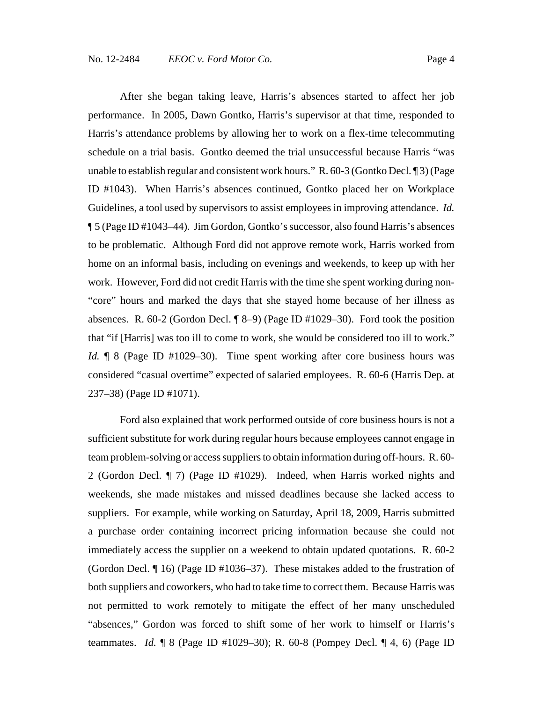After she began taking leave, Harris's absences started to affect her job performance. In 2005, Dawn Gontko, Harris's supervisor at that time, responded to Harris's attendance problems by allowing her to work on a flex-time telecommuting schedule on a trial basis. Gontko deemed the trial unsuccessful because Harris "was unable to establish regular and consistent work hours." R. 60-3 (Gontko Decl. 13) (Page ID #1043). When Harris's absences continued, Gontko placed her on Workplace Guidelines, a tool used by supervisors to assist employees in improving attendance. *Id.* ¶ 5 (Page ID #1043–44). Jim Gordon, Gontko's successor, also found Harris's absences to be problematic. Although Ford did not approve remote work, Harris worked from home on an informal basis, including on evenings and weekends, to keep up with her work. However, Ford did not credit Harris with the time she spent working during non- "core" hours and marked the days that she stayed home because of her illness as absences. R. 60-2 (Gordon Decl. ¶ 8–9) (Page ID #1029–30). Ford took the position that "if [Harris] was too ill to come to work, she would be considered too ill to work." *Id.* **[8** (Page ID #1029–30). Time spent working after core business hours was considered "casual overtime" expected of salaried employees. R. 60-6 (Harris Dep. at 237–38) (Page ID #1071).

Ford also explained that work performed outside of core business hours is not a sufficient substitute for work during regular hours because employees cannot engage in team problem-solving or access suppliers to obtain information during off-hours. R. 60- 2 (Gordon Decl. ¶ 7) (Page ID #1029). Indeed, when Harris worked nights and weekends, she made mistakes and missed deadlines because she lacked access to suppliers. For example, while working on Saturday, April 18, 2009, Harris submitted a purchase order containing incorrect pricing information because she could not immediately access the supplier on a weekend to obtain updated quotations. R. 60-2 (Gordon Decl. ¶ 16) (Page ID #1036–37). These mistakes added to the frustration of both suppliers and coworkers, who had to take time to correct them. Because Harris was not permitted to work remotely to mitigate the effect of her many unscheduled "absences," Gordon was forced to shift some of her work to himself or Harris's teammates. *Id.* ¶ 8 (Page ID #1029–30); R. 60-8 (Pompey Decl. ¶ 4, 6) (Page ID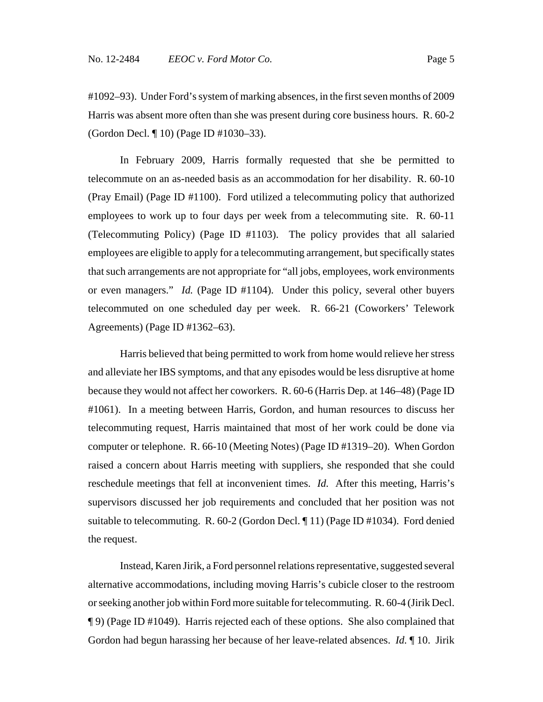#1092–93). Under Ford's system of marking absences, in the first seven months of 2009 Harris was absent more often than she was present during core business hours. R. 60-2 (Gordon Decl. ¶ 10) (Page ID #1030–33).

In February 2009, Harris formally requested that she be permitted to telecommute on an as-needed basis as an accommodation for her disability. R. 60-10 (Pray Email) (Page ID #1100). Ford utilized a telecommuting policy that authorized employees to work up to four days per week from a telecommuting site. R. 60-11 (Telecommuting Policy) (Page ID #1103). The policy provides that all salaried employees are eligible to apply for a telecommuting arrangement, but specifically states that such arrangements are not appropriate for "all jobs, employees, work environments or even managers." *Id.* (Page ID #1104). Under this policy, several other buyers telecommuted on one scheduled day per week. R. 66-21 (Coworkers' Telework Agreements) (Page ID #1362–63).

Harris believed that being permitted to work from home would relieve her stress and alleviate her IBS symptoms, and that any episodes would be less disruptive at home because they would not affect her coworkers. R. 60-6 (Harris Dep. at 146–48) (Page ID #1061). In a meeting between Harris, Gordon, and human resources to discuss her telecommuting request, Harris maintained that most of her work could be done via computer or telephone. R. 66-10 (Meeting Notes) (Page ID #1319–20). When Gordon raised a concern about Harris meeting with suppliers, she responded that she could reschedule meetings that fell at inconvenient times. *Id.* After this meeting, Harris's supervisors discussed her job requirements and concluded that her position was not suitable to telecommuting. R. 60-2 (Gordon Decl. ¶ 11) (Page ID #1034). Ford denied the request.

Instead, Karen Jirik, a Ford personnel relations representative, suggested several alternative accommodations, including moving Harris's cubicle closer to the restroom or seeking another job within Ford more suitable for telecommuting. R. 60-4 (Jirik Decl. ¶ 9) (Page ID #1049). Harris rejected each of these options. She also complained that Gordon had begun harassing her because of her leave-related absences. *Id.* ¶ 10. Jirik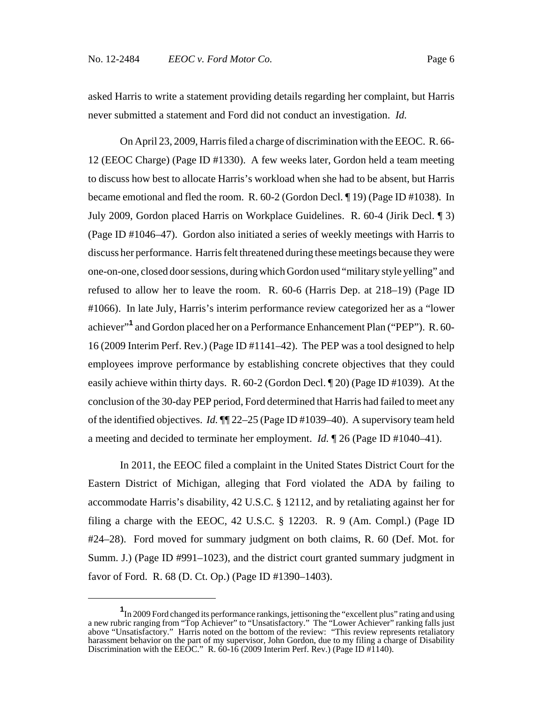asked Harris to write a statement providing details regarding her complaint, but Harris never submitted a statement and Ford did not conduct an investigation. *Id.*

On April 23, 2009, Harris filed a charge of discrimination with the EEOC. R. 66- 12 (EEOC Charge) (Page ID #1330). A few weeks later, Gordon held a team meeting to discuss how best to allocate Harris's workload when she had to be absent, but Harris became emotional and fled the room. R. 60-2 (Gordon Decl. ¶ 19) (Page ID #1038). In July 2009, Gordon placed Harris on Workplace Guidelines. R. 60-4 (Jirik Decl. ¶ 3) (Page ID #1046–47). Gordon also initiated a series of weekly meetings with Harris to discuss her performance. Harris felt threatened during these meetings because they were one-on-one, closed door sessions, during which Gordon used "military style yelling" and refused to allow her to leave the room. R. 60-6 (Harris Dep. at 218–19) (Page ID #1066). In late July, Harris's interim performance review categorized her as a "lower achiever"**<sup>1</sup>** and Gordon placed her on a Performance Enhancement Plan ("PEP"). R. 60- 16 (2009 Interim Perf. Rev.) (Page ID #1141–42). The PEP was a tool designed to help employees improve performance by establishing concrete objectives that they could easily achieve within thirty days. R. 60-2 (Gordon Decl. ¶ 20) (Page ID #1039). At the conclusion of the 30-day PEP period, Ford determined that Harris had failed to meet any of the identified objectives. *Id.* ¶¶ 22–25 (Page ID #1039–40). A supervisory team held a meeting and decided to terminate her employment. *Id.* ¶ 26 (Page ID #1040–41).

In 2011, the EEOC filed a complaint in the United States District Court for the Eastern District of Michigan, alleging that Ford violated the ADA by failing to accommodate Harris's disability, 42 U.S.C. § 12112, and by retaliating against her for filing a charge with the EEOC, 42 U.S.C. § 12203. R. 9 (Am. Compl.) (Page ID #24–28). Ford moved for summary judgment on both claims, R. 60 (Def. Mot. for Summ. J.) (Page ID #991–1023), and the district court granted summary judgment in favor of Ford. R. 68 (D. Ct. Op.) (Page ID #1390–1403).

**<sup>1</sup>** In 2009 Ford changed its performance rankings, jettisoning the "excellent plus" rating and using a new rubric ranging from "Top Achiever" to "Unsatisfactory." The "Lower Achiever" ranking falls just above "Unsatisfactory." Harris noted on the bottom of the review: "This review represents retaliatory harassment behavior on the part of my supervisor, John Gordon, due to my filing a charge of Disability Discrimination with the EEÔC." R. 60-16 (2009 Interim Perf. Rev.) (Page ID #1140).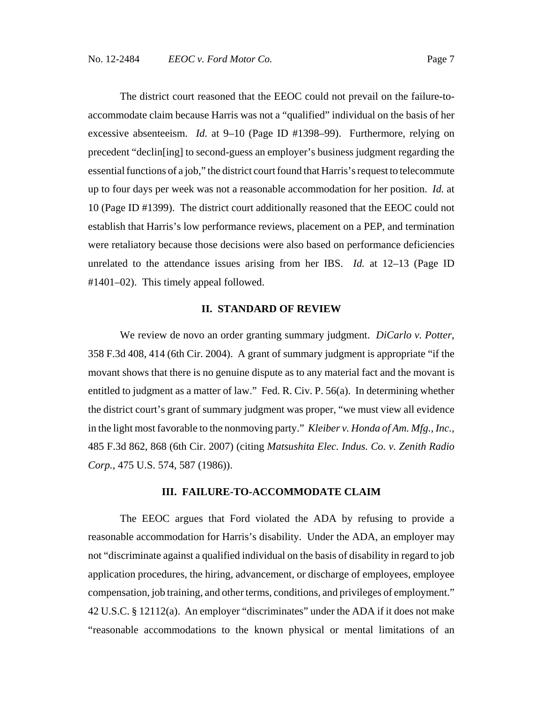The district court reasoned that the EEOC could not prevail on the failure-toaccommodate claim because Harris was not a "qualified" individual on the basis of her excessive absenteeism. *Id.* at 9–10 (Page ID #1398–99). Furthermore, relying on precedent "declin[ing] to second-guess an employer's business judgment regarding the essential functions of a job," the district court found that Harris's request to telecommute up to four days per week was not a reasonable accommodation for her position. *Id.* at 10 (Page ID #1399). The district court additionally reasoned that the EEOC could not establish that Harris's low performance reviews, placement on a PEP, and termination were retaliatory because those decisions were also based on performance deficiencies unrelated to the attendance issues arising from her IBS. *Id.* at 12–13 (Page ID #1401–02). This timely appeal followed.

### **II. STANDARD OF REVIEW**

We review de novo an order granting summary judgment. *DiCarlo v. Potter*, 358 F.3d 408, 414 (6th Cir. 2004). A grant of summary judgment is appropriate "if the movant shows that there is no genuine dispute as to any material fact and the movant is entitled to judgment as a matter of law." Fed. R. Civ. P. 56(a). In determining whether the district court's grant of summary judgment was proper, "we must view all evidence in the light most favorable to the nonmoving party." *Kleiber v. Honda of Am. Mfg., Inc.*, 485 F.3d 862, 868 (6th Cir. 2007) (citing *Matsushita Elec. Indus. Co. v. Zenith Radio Corp.*, 475 U.S. 574, 587 (1986)).

#### **III. FAILURE-TO-ACCOMMODATE CLAIM**

The EEOC argues that Ford violated the ADA by refusing to provide a reasonable accommodation for Harris's disability. Under the ADA, an employer may not "discriminate against a qualified individual on the basis of disability in regard to job application procedures, the hiring, advancement, or discharge of employees, employee compensation, job training, and other terms, conditions, and privileges of employment." 42 U.S.C. § 12112(a). An employer "discriminates" under the ADA if it does not make "reasonable accommodations to the known physical or mental limitations of an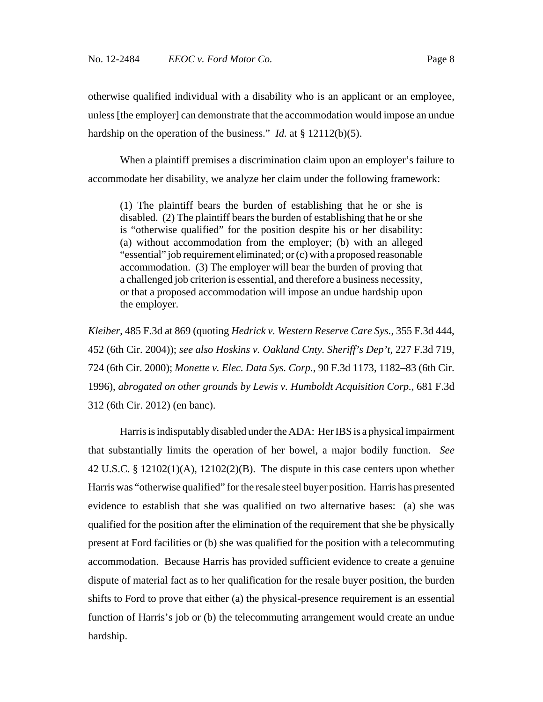otherwise qualified individual with a disability who is an applicant or an employee, unless [the employer] can demonstrate that the accommodation would impose an undue hardship on the operation of the business." *Id.* at § 12112(b)(5).

When a plaintiff premises a discrimination claim upon an employer's failure to accommodate her disability, we analyze her claim under the following framework:

(1) The plaintiff bears the burden of establishing that he or she is disabled. (2) The plaintiff bears the burden of establishing that he or she is "otherwise qualified" for the position despite his or her disability: (a) without accommodation from the employer; (b) with an alleged "essential" job requirement eliminated; or (c) with a proposed reasonable accommodation. (3) The employer will bear the burden of proving that a challenged job criterion is essential, and therefore a business necessity, or that a proposed accommodation will impose an undue hardship upon the employer.

*Kleiber*, 485 F.3d at 869 (quoting *Hedrick v. Western Reserve Care Sys.*, 355 F.3d 444, 452 (6th Cir. 2004)); *see also Hoskins v. Oakland Cnty. Sheriff's Dep't*, 227 F.3d 719, 724 (6th Cir. 2000); *Monette v. Elec. Data Sys. Corp.*, 90 F.3d 1173, 1182–83 (6th Cir. 1996), *abrogated on other grounds by Lewis v. Humboldt Acquisition Corp.*, 681 F.3d 312 (6th Cir. 2012) (en banc).

Harris is indisputably disabled under the ADA: Her IBS is a physical impairment that substantially limits the operation of her bowel, a major bodily function. *See* 42 U.S.C. § 12102(1)(A), 12102(2)(B). The dispute in this case centers upon whether Harris was "otherwise qualified" for the resale steel buyer position. Harris has presented evidence to establish that she was qualified on two alternative bases: (a) she was qualified for the position after the elimination of the requirement that she be physically present at Ford facilities or (b) she was qualified for the position with a telecommuting accommodation. Because Harris has provided sufficient evidence to create a genuine dispute of material fact as to her qualification for the resale buyer position, the burden shifts to Ford to prove that either (a) the physical-presence requirement is an essential function of Harris's job or (b) the telecommuting arrangement would create an undue hardship.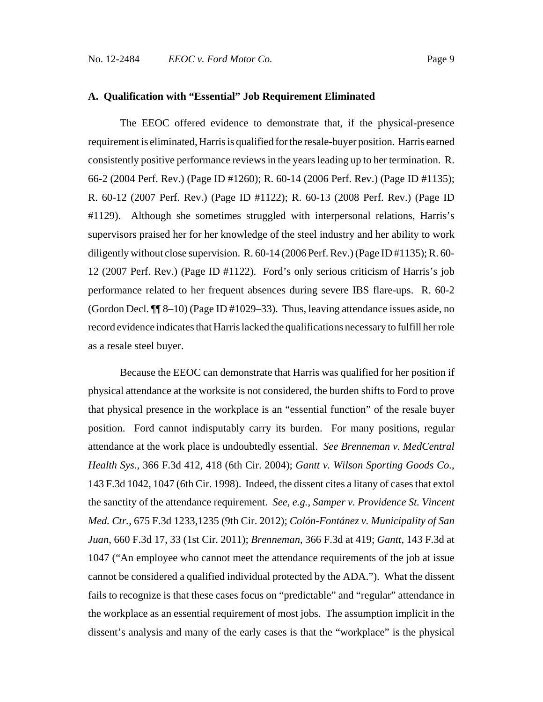### **A. Qualification with "Essential" Job Requirement Eliminated**

The EEOC offered evidence to demonstrate that, if the physical-presence requirement is eliminated, Harris is qualified for the resale-buyer position. Harris earned consistently positive performance reviews in the years leading up to her termination. R. 66-2 (2004 Perf. Rev.) (Page ID #1260); R. 60-14 (2006 Perf. Rev.) (Page ID #1135); R. 60-12 (2007 Perf. Rev.) (Page ID #1122); R. 60-13 (2008 Perf. Rev.) (Page ID #1129). Although she sometimes struggled with interpersonal relations, Harris's supervisors praised her for her knowledge of the steel industry and her ability to work diligently without close supervision. R. 60-14 (2006 Perf. Rev.) (Page ID #1135); R. 60- 12 (2007 Perf. Rev.) (Page ID #1122). Ford's only serious criticism of Harris's job performance related to her frequent absences during severe IBS flare-ups. R. 60-2 (Gordon Decl. ¶¶ 8–10) (Page ID #1029–33). Thus, leaving attendance issues aside, no record evidence indicates that Harris lacked the qualifications necessary to fulfill her role as a resale steel buyer.

Because the EEOC can demonstrate that Harris was qualified for her position if physical attendance at the worksite is not considered, the burden shifts to Ford to prove that physical presence in the workplace is an "essential function" of the resale buyer position. Ford cannot indisputably carry its burden. For many positions, regular attendance at the work place is undoubtedly essential. *See Brenneman v. MedCentral Health Sys.*, 366 F.3d 412, 418 (6th Cir. 2004); *Gantt v. Wilson Sporting Goods Co.*, 143 F.3d 1042, 1047 (6th Cir. 1998). Indeed, the dissent cites a litany of cases that extol the sanctity of the attendance requirement. *See, e.g.*, *Samper v. Providence St. Vincent Med. Ctr.*, 675 F.3d 1233,1235 (9th Cir. 2012); *Colón-Fontánez v. Municipality of San Juan*, 660 F.3d 17, 33 (1st Cir. 2011); *Brenneman*, 366 F.3d at 419; *Gantt*, 143 F.3d at 1047 ("An employee who cannot meet the attendance requirements of the job at issue cannot be considered a qualified individual protected by the ADA."). What the dissent fails to recognize is that these cases focus on "predictable" and "regular" attendance in the workplace as an essential requirement of most jobs. The assumption implicit in the dissent's analysis and many of the early cases is that the "workplace" is the physical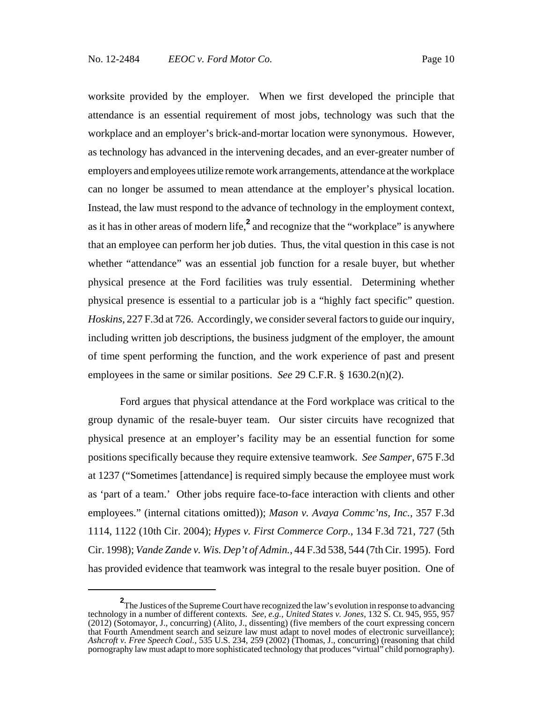worksite provided by the employer. When we first developed the principle that attendance is an essential requirement of most jobs, technology was such that the workplace and an employer's brick-and-mortar location were synonymous. However, as technology has advanced in the intervening decades, and an ever-greater number of employers and employees utilize remote work arrangements, attendance at the workplace can no longer be assumed to mean attendance at the employer's physical location. Instead, the law must respond to the advance of technology in the employment context, as it has in other areas of modern life,**<sup>2</sup>** and recognize that the "workplace" is anywhere that an employee can perform her job duties. Thus, the vital question in this case is not whether "attendance" was an essential job function for a resale buyer, but whether physical presence at the Ford facilities was truly essential. Determining whether physical presence is essential to a particular job is a "highly fact specific" question. *Hoskins*, 227 F.3d at 726. Accordingly, we consider several factors to guide our inquiry, including written job descriptions, the business judgment of the employer, the amount of time spent performing the function, and the work experience of past and present employees in the same or similar positions. *See* 29 C.F.R. § 1630.2(n)(2).

Ford argues that physical attendance at the Ford workplace was critical to the group dynamic of the resale-buyer team. Our sister circuits have recognized that physical presence at an employer's facility may be an essential function for some positions specifically because they require extensive teamwork. *See Samper*, 675 F.3d at 1237 ("Sometimes [attendance] is required simply because the employee must work as 'part of a team.' Other jobs require face-to-face interaction with clients and other employees." (internal citations omitted)); *Mason v. Avaya Commc'ns, Inc.*, 357 F.3d 1114, 1122 (10th Cir. 2004); *Hypes v. First Commerce Corp.*, 134 F.3d 721, 727 (5th Cir. 1998); *Vande Zande v. Wis. Dep't of Admin.*, 44 F.3d 538, 544 (7th Cir. 1995). Ford has provided evidence that teamwork was integral to the resale buyer position. One of

<sup>&</sup>lt;sup>2</sup>The Justices of the Supreme Court have recognized the law's evolution in response to advancing technology in a number of different contexts. *See, e.g.*, *United States v. Jones*, 132 S. Ct. 945, 955, 957 (2012) (Sotomayor, J., concurring) (Alito, J., dissenting) (five members of the court expressing concern that Fourth Amendment search and seizure law must adapt to novel modes of electronic surveillance); *Ashcroft v. Free Speech Coal.*, 535 U.S. 234, 259 (2002) (Thomas, J., concurring) (reasoning that child pornography law must adapt to more sophisticated technology that produces "virtual" child pornography).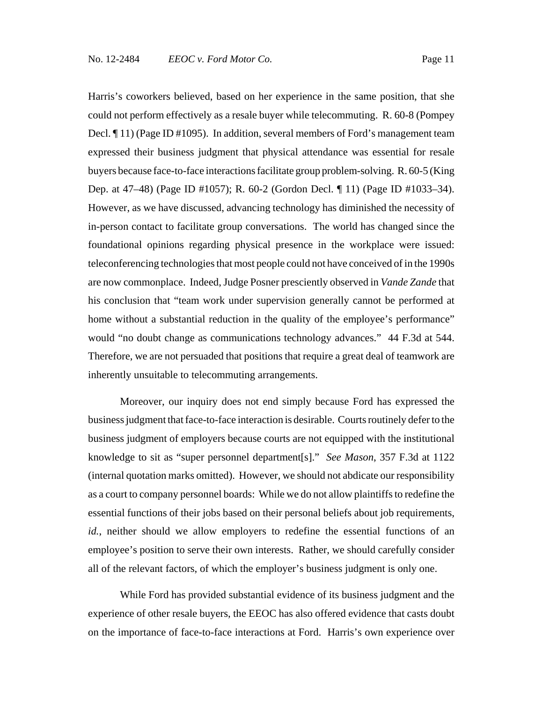Harris's coworkers believed, based on her experience in the same position, that she could not perform effectively as a resale buyer while telecommuting. R. 60-8 (Pompey Decl. ¶ 11) (Page ID #1095). In addition, several members of Ford's management team expressed their business judgment that physical attendance was essential for resale buyers because face-to-face interactions facilitate group problem-solving. R. 60-5 (King Dep. at 47–48) (Page ID #1057); R. 60-2 (Gordon Decl. ¶ 11) (Page ID #1033–34). However, as we have discussed, advancing technology has diminished the necessity of in-person contact to facilitate group conversations. The world has changed since the foundational opinions regarding physical presence in the workplace were issued: teleconferencing technologies that most people could not have conceived of in the 1990s are now commonplace. Indeed, Judge Posner presciently observed in *Vande Zande* that his conclusion that "team work under supervision generally cannot be performed at home without a substantial reduction in the quality of the employee's performance" would "no doubt change as communications technology advances." 44 F.3d at 544. Therefore, we are not persuaded that positions that require a great deal of teamwork are inherently unsuitable to telecommuting arrangements.

Moreover, our inquiry does not end simply because Ford has expressed the business judgment that face-to-face interaction is desirable. Courts routinely defer to the business judgment of employers because courts are not equipped with the institutional knowledge to sit as "super personnel department[s]." *See Mason*, 357 F.3d at 1122 (internal quotation marks omitted). However, we should not abdicate our responsibility as a court to company personnel boards: While we do not allow plaintiffs to redefine the essential functions of their jobs based on their personal beliefs about job requirements, *id.*, neither should we allow employers to redefine the essential functions of an employee's position to serve their own interests. Rather, we should carefully consider all of the relevant factors, of which the employer's business judgment is only one.

While Ford has provided substantial evidence of its business judgment and the experience of other resale buyers, the EEOC has also offered evidence that casts doubt on the importance of face-to-face interactions at Ford. Harris's own experience over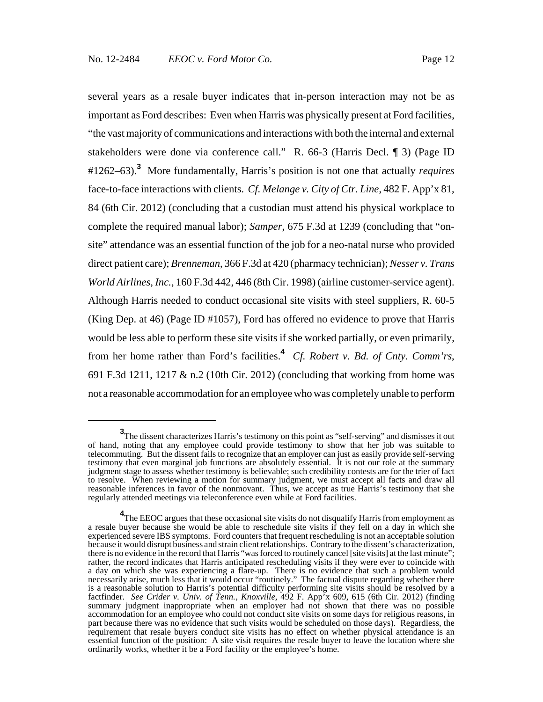several years as a resale buyer indicates that in-person interaction may not be as important as Ford describes: Even when Harris was physically present at Ford facilities, "the vast majority of communications and interactions with both the internal and external stakeholders were done via conference call." R. 66-3 (Harris Decl. ¶ 3) (Page ID #1262–63).**<sup>3</sup>** More fundamentally, Harris's position is not one that actually *requires* face-to-face interactions with clients. *Cf. Melange v. City of Ctr. Line*, 482 F. App'x 81, 84 (6th Cir. 2012) (concluding that a custodian must attend his physical workplace to complete the required manual labor); *Samper*, 675 F.3d at 1239 (concluding that "onsite" attendance was an essential function of the job for a neo-natal nurse who provided direct patient care); *Brenneman*, 366 F.3d at 420 (pharmacy technician); *Nesser v. Trans World Airlines, Inc.*, 160 F.3d 442, 446 (8th Cir. 1998) (airline customer-service agent). Although Harris needed to conduct occasional site visits with steel suppliers, R. 60-5 (King Dep. at 46) (Page ID #1057), Ford has offered no evidence to prove that Harris would be less able to perform these site visits if she worked partially, or even primarily, from her home rather than Ford's facilities.**<sup>4</sup>** *Cf. Robert v. Bd. of Cnty. Comm'rs*, 691 F.3d 1211, 1217 & n.2 (10th Cir. 2012) (concluding that working from home was not a reasonable accommodation for an employee who was completely unable to perform

**<sup>3</sup>**<br>The dissent characterizes Harris's testimony on this point as "self-serving" and dismisses it out of hand, noting that any employee could provide testimony to show that her job was suitable to telecommuting. But the dissent fails to recognize that an employer can just as easily provide self-serving testimony that even marginal job functions are absolutely essential. It is not our role at the summary judgment stage to assess whether testimony is believable; such credibility contests are for the trier of fact to resolve. When reviewing a motion for summary judgment, we must accept all facts and draw all reasonable inferences in favor of the nonmovant. Thus, we accept as true Harris's testimony that she regularly attended meetings via teleconference even while at Ford facilities.

<sup>&</sup>lt;sup>4</sup>The EEOC argues that these occasional site visits do not disqualify Harris from employment as a resale buyer because she would be able to reschedule site visits if they fell on a day in which she experienced severe IBS symptoms. Ford counters that frequent rescheduling is not an acceptable solution because it would disrupt business and strain client relationships. Contrary to the dissent's characterization, there is no evidence in the record that Harris "was forced to routinely cancel [site visits] at the last minute"; rather, the record indicates that Harris anticipated rescheduling visits if they were ever to coincide with a day on which she was experiencing a flare-up. There is no evidence that such a problem would necessarily arise, much less that it would occur "routinely." The factual dispute regarding whether there is a reasonable solution to Harris's potential difficulty performing site visits should be resolved by a factfinder. *See Crider v. Univ. of Tenn., Knoxville*, 492 F. App'x 609, 615 (6th Cir. 2012) (finding summary judgment inappropriate when an employer had not shown that there was no possible accommodation for an employee who could not conduct site visits on some days for religious reasons, in part because there was no evidence that such visits would be scheduled on those days). Regardless, the requirement that resale buyers conduct site visits has no effect on whether physical attendance is an essential function of the position: A site visit requires the resale buyer to leave the location where she ordinarily works, whether it be a Ford facility or the employee's home.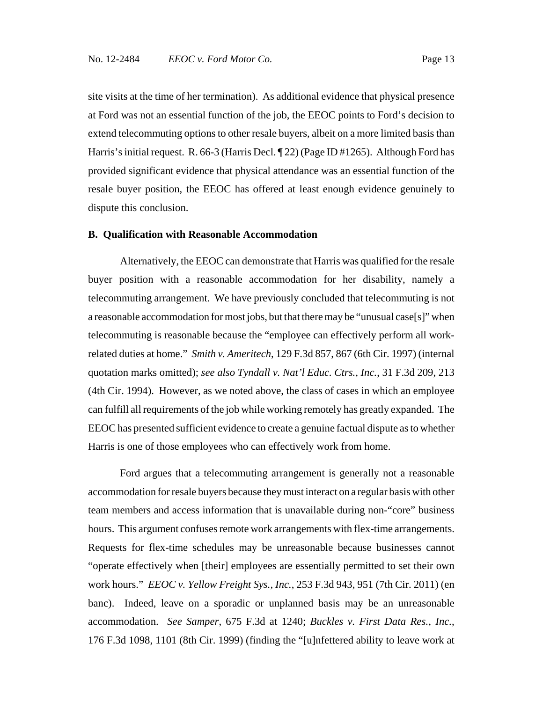site visits at the time of her termination). As additional evidence that physical presence at Ford was not an essential function of the job, the EEOC points to Ford's decision to extend telecommuting options to other resale buyers, albeit on a more limited basis than Harris's initial request. R. 66-3 (Harris Decl. ¶ 22) (Page ID #1265). Although Ford has provided significant evidence that physical attendance was an essential function of the resale buyer position, the EEOC has offered at least enough evidence genuinely to dispute this conclusion.

#### **B. Qualification with Reasonable Accommodation**

Alternatively, the EEOC can demonstrate that Harris was qualified for the resale buyer position with a reasonable accommodation for her disability, namely a telecommuting arrangement. We have previously concluded that telecommuting is not a reasonable accommodation for most jobs, but that there may be "unusual case[s]" when telecommuting is reasonable because the "employee can effectively perform all workrelated duties at home." *Smith v. Ameritech*, 129 F.3d 857, 867 (6th Cir. 1997) (internal quotation marks omitted); *see also Tyndall v. Nat'l Educ. Ctrs., Inc.*, 31 F.3d 209, 213 (4th Cir. 1994). However, as we noted above, the class of cases in which an employee can fulfill all requirements of the job while working remotely has greatly expanded. The EEOC has presented sufficient evidence to create a genuine factual dispute as to whether Harris is one of those employees who can effectively work from home.

Ford argues that a telecommuting arrangement is generally not a reasonable accommodation for resale buyers because they must interact on a regular basis with other team members and access information that is unavailable during non-"core" business hours. This argument confuses remote work arrangements with flex-time arrangements. Requests for flex-time schedules may be unreasonable because businesses cannot "operate effectively when [their] employees are essentially permitted to set their own work hours." *EEOC v. Yellow Freight Sys., Inc.*, 253 F.3d 943, 951 (7th Cir. 2011) (en banc). Indeed, leave on a sporadic or unplanned basis may be an unreasonable accommodation. *See Samper*, 675 F.3d at 1240; *Buckles v. First Data Res., Inc.*, 176 F.3d 1098, 1101 (8th Cir. 1999) (finding the "[u]nfettered ability to leave work at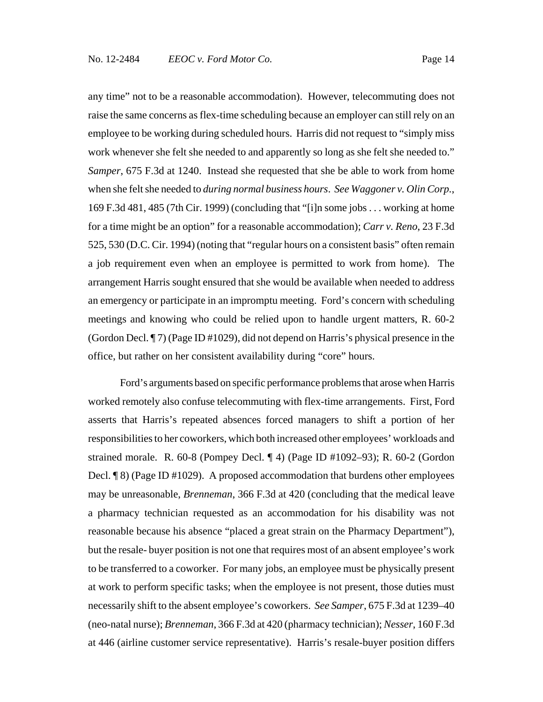any time" not to be a reasonable accommodation). However, telecommuting does not raise the same concerns as flex-time scheduling because an employer can still rely on an employee to be working during scheduled hours. Harris did not request to "simply miss work whenever she felt she needed to and apparently so long as she felt she needed to." *Samper*, 675 F.3d at 1240. Instead she requested that she be able to work from home when she felt she needed to *during normal business hours*. *See Waggoner v. Olin Corp.*, 169 F.3d 481, 485 (7th Cir. 1999) (concluding that "[i]n some jobs . . . working at home for a time might be an option" for a reasonable accommodation); *Carr v. Reno*, 23 F.3d 525, 530 (D.C. Cir. 1994) (noting that "regular hours on a consistent basis" often remain a job requirement even when an employee is permitted to work from home). The arrangement Harris sought ensured that she would be available when needed to address an emergency or participate in an impromptu meeting. Ford's concern with scheduling meetings and knowing who could be relied upon to handle urgent matters, R. 60-2 (Gordon Decl. ¶ 7) (Page ID #1029), did not depend on Harris's physical presence in the office, but rather on her consistent availability during "core" hours.

Ford's arguments based on specific performance problems that arose when Harris worked remotely also confuse telecommuting with flex-time arrangements. First, Ford asserts that Harris's repeated absences forced managers to shift a portion of her responsibilities to her coworkers, which both increased other employees' workloads and strained morale. R. 60-8 (Pompey Decl. ¶ 4) (Page ID #1092–93); R. 60-2 (Gordon Decl. ¶ 8) (Page ID #1029). A proposed accommodation that burdens other employees may be unreasonable, *Brenneman*, 366 F.3d at 420 (concluding that the medical leave a pharmacy technician requested as an accommodation for his disability was not reasonable because his absence "placed a great strain on the Pharmacy Department"), but the resale- buyer position is not one that requires most of an absent employee's work to be transferred to a coworker. For many jobs, an employee must be physically present at work to perform specific tasks; when the employee is not present, those duties must necessarily shift to the absent employee's coworkers. *See Samper*, 675 F.3d at 1239–40 (neo-natal nurse); *Brenneman*, 366 F.3d at 420 (pharmacy technician); *Nesser*, 160 F.3d at 446 (airline customer service representative). Harris's resale-buyer position differs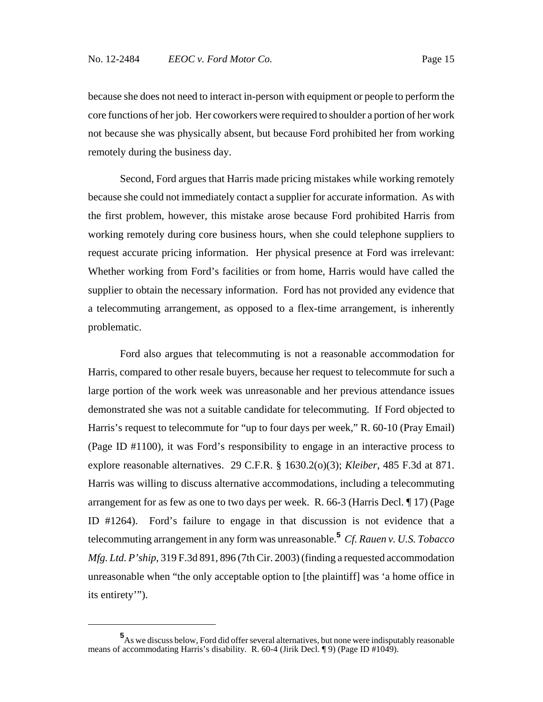because she does not need to interact in-person with equipment or people to perform the core functions of her job. Her coworkers were required to shoulder a portion of her work not because she was physically absent, but because Ford prohibited her from working remotely during the business day.

Second, Ford argues that Harris made pricing mistakes while working remotely because she could not immediately contact a supplier for accurate information. As with the first problem, however, this mistake arose because Ford prohibited Harris from working remotely during core business hours, when she could telephone suppliers to request accurate pricing information. Her physical presence at Ford was irrelevant: Whether working from Ford's facilities or from home, Harris would have called the supplier to obtain the necessary information. Ford has not provided any evidence that a telecommuting arrangement, as opposed to a flex-time arrangement, is inherently problematic.

Ford also argues that telecommuting is not a reasonable accommodation for Harris, compared to other resale buyers, because her request to telecommute for such a large portion of the work week was unreasonable and her previous attendance issues demonstrated she was not a suitable candidate for telecommuting. If Ford objected to Harris's request to telecommute for "up to four days per week," R. 60-10 (Pray Email) (Page ID #1100), it was Ford's responsibility to engage in an interactive process to explore reasonable alternatives. 29 C.F.R. § 1630.2(o)(3); *Kleiber*, 485 F.3d at 871. Harris was willing to discuss alternative accommodations, including a telecommuting arrangement for as few as one to two days per week. R. 66-3 (Harris Decl. ¶ 17) (Page ID #1264). Ford's failure to engage in that discussion is not evidence that a telecommuting arrangement in any form was unreasonable.**<sup>5</sup>** *Cf. Rauen v. U.S. Tobacco Mfg. Ltd. P'ship*, 319 F.3d 891, 896 (7th Cir. 2003) (finding a requested accommodation unreasonable when "the only acceptable option to [the plaintiff] was 'a home office in its entirety'").

**<sup>5</sup>** As we discuss below, Ford did offer several alternatives, but none were indisputably reasonable means of accommodating Harris's disability. R. 60-4 (Jirik Decl. ¶ 9) (Page ID #1049).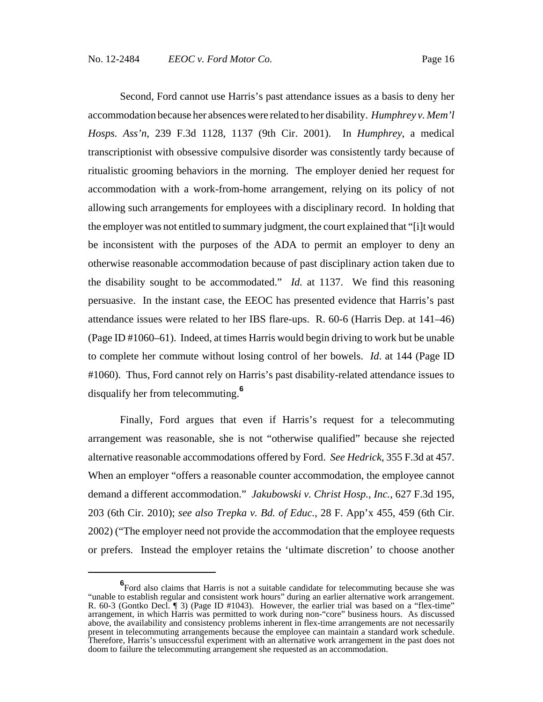Second, Ford cannot use Harris's past attendance issues as a basis to deny her accommodation because her absences were related to her disability. *Humphrey v. Mem'l Hosps. Ass'n*, 239 F.3d 1128, 1137 (9th Cir. 2001). In *Humphrey*, a medical transcriptionist with obsessive compulsive disorder was consistently tardy because of ritualistic grooming behaviors in the morning. The employer denied her request for accommodation with a work-from-home arrangement, relying on its policy of not allowing such arrangements for employees with a disciplinary record. In holding that the employer was not entitled to summary judgment, the court explained that "[i]t would be inconsistent with the purposes of the ADA to permit an employer to deny an otherwise reasonable accommodation because of past disciplinary action taken due to the disability sought to be accommodated." *Id.* at 1137. We find this reasoning persuasive. In the instant case, the EEOC has presented evidence that Harris's past attendance issues were related to her IBS flare-ups. R. 60-6 (Harris Dep. at 141–46) (Page ID #1060–61). Indeed, at times Harris would begin driving to work but be unable to complete her commute without losing control of her bowels. *Id*. at 144 (Page ID #1060). Thus, Ford cannot rely on Harris's past disability-related attendance issues to disqualify her from telecommuting.**<sup>6</sup>**

Finally, Ford argues that even if Harris's request for a telecommuting arrangement was reasonable, she is not "otherwise qualified" because she rejected alternative reasonable accommodations offered by Ford. *See Hedrick*, 355 F.3d at 457. When an employer "offers a reasonable counter accommodation, the employee cannot demand a different accommodation." *Jakubowski v. Christ Hosp., Inc.*, 627 F.3d 195, 203 (6th Cir. 2010); *see also Trepka v. Bd. of Educ.*, 28 F. App'x 455, 459 (6th Cir. 2002) ("The employer need not provide the accommodation that the employee requests or prefers. Instead the employer retains the 'ultimate discretion' to choose another

**<sup>6</sup>** Ford also claims that Harris is not a suitable candidate for telecommuting because she was "unable to establish regular and consistent work hours" during an earlier alternative work arrangement. R. 60-3 (Gontko Decl. ¶ 3) (Page ID #1043). However, the earlier trial was based on a "flex-time" arrangement, in which Harris was permitted to work during non-"core" business hours. As discussed above, the availability and consistency problems inherent in flex-time arrangements are not necessarily present in telecommuting arrangements because the employee can maintain a standard work schedule. Therefore, Harris's unsuccessful experiment with an alternative work arrangement in the past does not doom to failure the telecommuting arrangement she requested as an accommodation.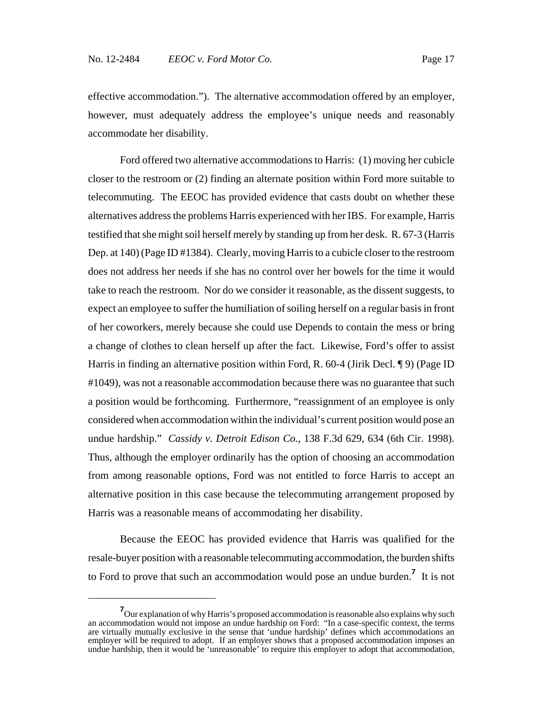effective accommodation."). The alternative accommodation offered by an employer, however, must adequately address the employee's unique needs and reasonably accommodate her disability.

Ford offered two alternative accommodations to Harris: (1) moving her cubicle closer to the restroom or (2) finding an alternate position within Ford more suitable to telecommuting. The EEOC has provided evidence that casts doubt on whether these alternatives address the problems Harris experienced with her IBS. For example, Harris testified that she might soil herself merely by standing up from her desk. R. 67-3 (Harris Dep. at 140) (Page ID #1384). Clearly, moving Harris to a cubicle closer to the restroom does not address her needs if she has no control over her bowels for the time it would take to reach the restroom. Nor do we consider it reasonable, as the dissent suggests, to expect an employee to suffer the humiliation of soiling herself on a regular basis in front of her coworkers, merely because she could use Depends to contain the mess or bring a change of clothes to clean herself up after the fact. Likewise, Ford's offer to assist Harris in finding an alternative position within Ford, R. 60-4 (Jirik Decl. ¶ 9) (Page ID #1049), was not a reasonable accommodation because there was no guarantee that such a position would be forthcoming. Furthermore, "reassignment of an employee is only considered when accommodation within the individual's current position would pose an undue hardship." *Cassidy v. Detroit Edison Co.*, 138 F.3d 629, 634 (6th Cir. 1998). Thus, although the employer ordinarily has the option of choosing an accommodation from among reasonable options, Ford was not entitled to force Harris to accept an alternative position in this case because the telecommuting arrangement proposed by Harris was a reasonable means of accommodating her disability.

Because the EEOC has provided evidence that Harris was qualified for the resale-buyer position with a reasonable telecommuting accommodation, the burden shifts to Ford to prove that such an accommodation would pose an undue burden.**<sup>7</sup>** It is not

**<sup>7</sup>** Our explanation of why Harris's proposed accommodation is reasonable also explains why such an accommodation would not impose an undue hardship on Ford: "In a case-specific context, the terms are virtually mutually exclusive in the sense that 'undue hardship' defines which accommodations an employer will be required to adopt. If an employer shows that a proposed accommodation imposes an undue hardship, then it would be 'unreasonable' to require this employer to adopt that accommodation,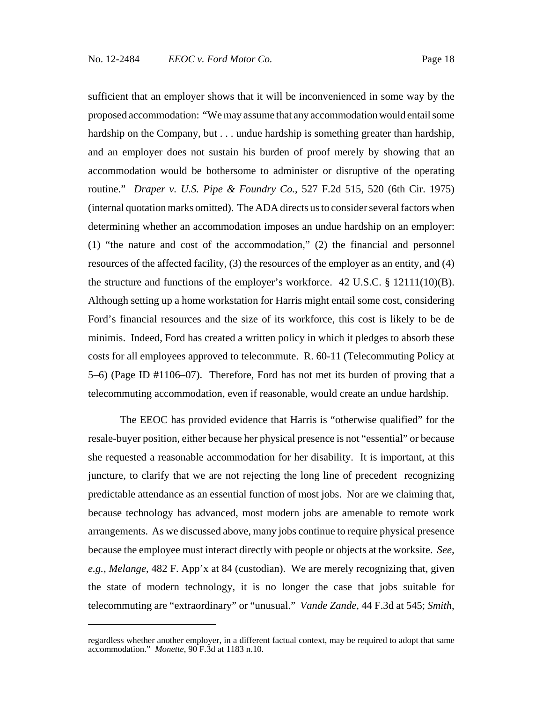sufficient that an employer shows that it will be inconvenienced in some way by the proposed accommodation: "We may assume that any accommodation would entail some hardship on the Company, but . . . undue hardship is something greater than hardship, and an employer does not sustain his burden of proof merely by showing that an accommodation would be bothersome to administer or disruptive of the operating routine." *Draper v. U.S. Pipe & Foundry Co.*, 527 F.2d 515, 520 (6th Cir. 1975) (internal quotation marks omitted). The ADA directs us to consider several factors when determining whether an accommodation imposes an undue hardship on an employer: (1) "the nature and cost of the accommodation," (2) the financial and personnel resources of the affected facility, (3) the resources of the employer as an entity, and (4) the structure and functions of the employer's workforce. 42 U.S.C. § 12111(10)(B). Although setting up a home workstation for Harris might entail some cost, considering Ford's financial resources and the size of its workforce, this cost is likely to be de minimis. Indeed, Ford has created a written policy in which it pledges to absorb these costs for all employees approved to telecommute. R. 60-11 (Telecommuting Policy at 5–6) (Page ID #1106–07). Therefore, Ford has not met its burden of proving that a telecommuting accommodation, even if reasonable, would create an undue hardship.

The EEOC has provided evidence that Harris is "otherwise qualified" for the resale-buyer position, either because her physical presence is not "essential" or because she requested a reasonable accommodation for her disability. It is important, at this juncture, to clarify that we are not rejecting the long line of precedent recognizing predictable attendance as an essential function of most jobs. Nor are we claiming that, because technology has advanced, most modern jobs are amenable to remote work arrangements. As we discussed above, many jobs continue to require physical presence because the employee must interact directly with people or objects at the worksite. *See, e.g.*, *Melange*, 482 F. App'x at 84 (custodian). We are merely recognizing that, given the state of modern technology, it is no longer the case that jobs suitable for telecommuting are "extraordinary" or "unusual." *Vande Zande*, 44 F.3d at 545; *Smith*,

regardless whether another employer, in a different factual context, may be required to adopt that same accommodation." *Monette*, 90 F.3d at 1183 n.10.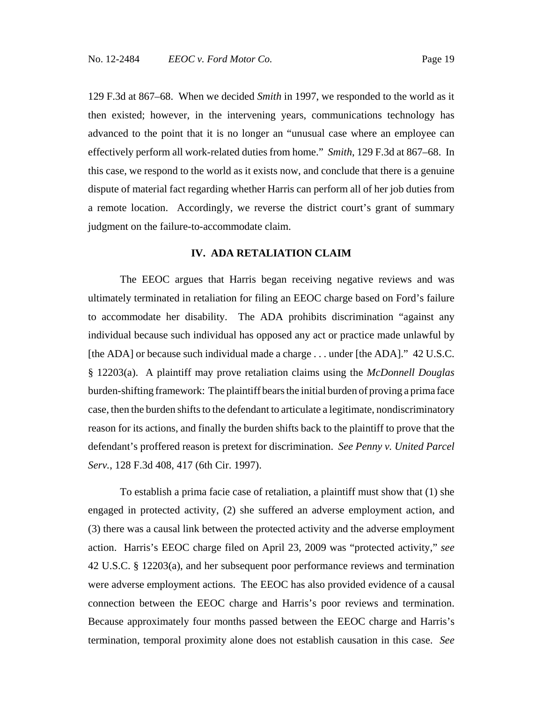129 F.3d at 867–68. When we decided *Smith* in 1997, we responded to the world as it then existed; however, in the intervening years, communications technology has advanced to the point that it is no longer an "unusual case where an employee can effectively perform all work-related duties from home." *Smith*, 129 F.3d at 867–68. In this case, we respond to the world as it exists now, and conclude that there is a genuine dispute of material fact regarding whether Harris can perform all of her job duties from a remote location. Accordingly, we reverse the district court's grant of summary judgment on the failure-to-accommodate claim.

#### **IV. ADA RETALIATION CLAIM**

The EEOC argues that Harris began receiving negative reviews and was ultimately terminated in retaliation for filing an EEOC charge based on Ford's failure to accommodate her disability. The ADA prohibits discrimination "against any individual because such individual has opposed any act or practice made unlawful by [the ADA] or because such individual made a charge . . . under [the ADA]." 42 U.S.C. § 12203(a). A plaintiff may prove retaliation claims using the *McDonnell Douglas* burden-shifting framework: The plaintiff bears the initial burden of proving a prima face case, then the burden shifts to the defendant to articulate a legitimate, nondiscriminatory reason for its actions, and finally the burden shifts back to the plaintiff to prove that the defendant's proffered reason is pretext for discrimination. *See Penny v. United Parcel Serv.*, 128 F.3d 408, 417 (6th Cir. 1997).

To establish a prima facie case of retaliation, a plaintiff must show that (1) she engaged in protected activity, (2) she suffered an adverse employment action, and (3) there was a causal link between the protected activity and the adverse employment action. Harris's EEOC charge filed on April 23, 2009 was "protected activity," *see* 42 U.S.C. § 12203(a), and her subsequent poor performance reviews and termination were adverse employment actions. The EEOC has also provided evidence of a causal connection between the EEOC charge and Harris's poor reviews and termination. Because approximately four months passed between the EEOC charge and Harris's termination, temporal proximity alone does not establish causation in this case. *See*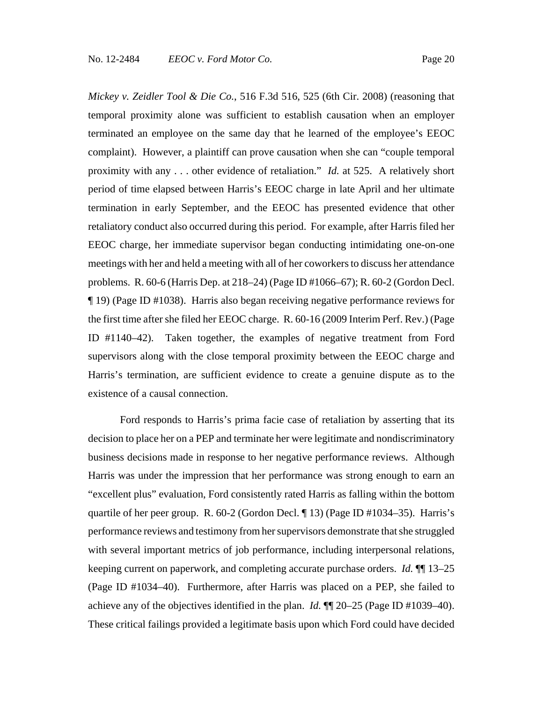*Mickey v. Zeidler Tool & Die Co.*, 516 F.3d 516, 525 (6th Cir. 2008) (reasoning that temporal proximity alone was sufficient to establish causation when an employer terminated an employee on the same day that he learned of the employee's EEOC complaint). However, a plaintiff can prove causation when she can "couple temporal proximity with any . . . other evidence of retaliation." *Id.* at 525. A relatively short period of time elapsed between Harris's EEOC charge in late April and her ultimate termination in early September, and the EEOC has presented evidence that other retaliatory conduct also occurred during this period. For example, after Harris filed her EEOC charge, her immediate supervisor began conducting intimidating one-on-one meetings with her and held a meeting with all of her coworkers to discuss her attendance problems. R. 60-6 (Harris Dep. at 218–24) (Page ID #1066–67); R. 60-2 (Gordon Decl. ¶ 19) (Page ID #1038). Harris also began receiving negative performance reviews for the first time after she filed her EEOC charge. R. 60-16 (2009 Interim Perf. Rev.) (Page ID #1140–42). Taken together, the examples of negative treatment from Ford supervisors along with the close temporal proximity between the EEOC charge and Harris's termination, are sufficient evidence to create a genuine dispute as to the existence of a causal connection.

Ford responds to Harris's prima facie case of retaliation by asserting that its decision to place her on a PEP and terminate her were legitimate and nondiscriminatory business decisions made in response to her negative performance reviews. Although Harris was under the impression that her performance was strong enough to earn an "excellent plus" evaluation, Ford consistently rated Harris as falling within the bottom quartile of her peer group. R. 60-2 (Gordon Decl. ¶ 13) (Page ID #1034–35). Harris's performance reviews and testimony from her supervisors demonstrate that she struggled with several important metrics of job performance, including interpersonal relations, keeping current on paperwork, and completing accurate purchase orders. *Id.* ¶¶ 13–25 (Page ID #1034–40). Furthermore, after Harris was placed on a PEP, she failed to achieve any of the objectives identified in the plan. *Id.* ¶¶ 20–25 (Page ID #1039–40). These critical failings provided a legitimate basis upon which Ford could have decided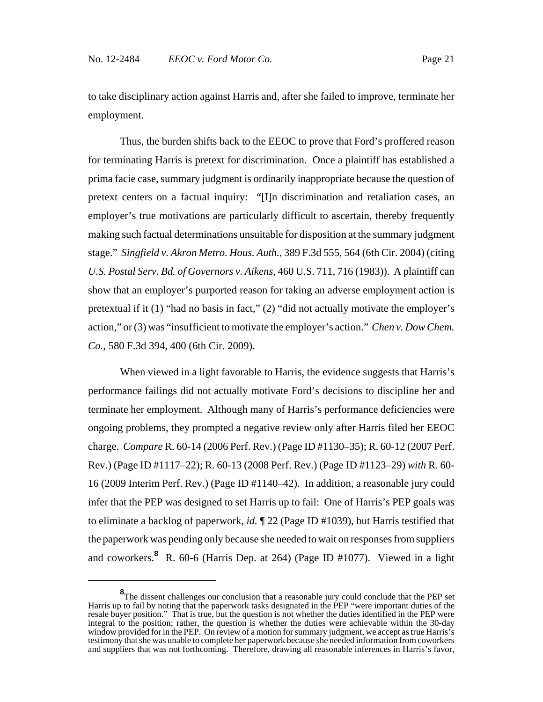to take disciplinary action against Harris and, after she failed to improve, terminate her employment.

Thus, the burden shifts back to the EEOC to prove that Ford's proffered reason for terminating Harris is pretext for discrimination. Once a plaintiff has established a prima facie case, summary judgment is ordinarily inappropriate because the question of pretext centers on a factual inquiry: "[I]n discrimination and retaliation cases, an employer's true motivations are particularly difficult to ascertain, thereby frequently making such factual determinations unsuitable for disposition at the summary judgment stage." *Singfield v. Akron Metro. Hous. Auth.*, 389 F.3d 555, 564 (6th Cir. 2004) (citing *U.S. Postal Serv. Bd. of Governors v. Aikens,* 460 U.S. 711, 716 (1983)). A plaintiff can show that an employer's purported reason for taking an adverse employment action is pretextual if it (1) "had no basis in fact," (2) "did not actually motivate the employer's action," or (3) was "insufficient to motivate the employer's action." *Chen v. Dow Chem. Co.*, 580 F.3d 394, 400 (6th Cir. 2009).

When viewed in a light favorable to Harris, the evidence suggests that Harris's performance failings did not actually motivate Ford's decisions to discipline her and terminate her employment. Although many of Harris's performance deficiencies were ongoing problems, they prompted a negative review only after Harris filed her EEOC charge. *Compare* R. 60-14 (2006 Perf. Rev.) (Page ID #1130–35); R. 60-12 (2007 Perf. Rev.) (Page ID #1117–22); R. 60-13 (2008 Perf. Rev.) (Page ID #1123–29) *with* R. 60- 16 (2009 Interim Perf. Rev.) (Page ID #1140–42). In addition, a reasonable jury could infer that the PEP was designed to set Harris up to fail: One of Harris's PEP goals was to eliminate a backlog of paperwork, *id.* ¶ 22 (Page ID #1039), but Harris testified that the paperwork was pending only because she needed to wait on responses from suppliers and coworkers.**<sup>8</sup>** R. 60-6 (Harris Dep. at 264) (Page ID #1077). Viewed in a light

<sup>&</sup>lt;sup>8</sup>The dissent challenges our conclusion that a reasonable jury could conclude that the PEP set Harris up to fail by noting that the paperwork tasks designated in the PEP "were important duties of the resale buyer position." That is true, but the question is not whether the duties identified in the PEP were integral to the position; rather, the question is whether the duties were achievable within the 30-day window provided for in the PEP. On review of a motion for summary judgment, we accept as true Harris's testimony that she was unable to complete her paperwork because she needed information from coworkers and suppliers that was not forthcoming. Therefore, drawing all reasonable inferences in Harris's favor,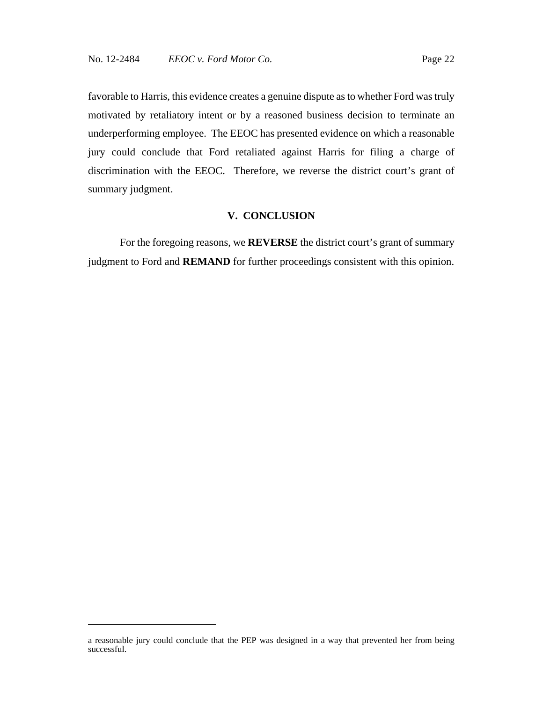favorable to Harris, this evidence creates a genuine dispute as to whether Ford was truly motivated by retaliatory intent or by a reasoned business decision to terminate an underperforming employee. The EEOC has presented evidence on which a reasonable jury could conclude that Ford retaliated against Harris for filing a charge of discrimination with the EEOC. Therefore, we reverse the district court's grant of summary judgment.

#### **V. CONCLUSION**

For the foregoing reasons, we **REVERSE** the district court's grant of summary judgment to Ford and **REMAND** for further proceedings consistent with this opinion.

a reasonable jury could conclude that the PEP was designed in a way that prevented her from being successful.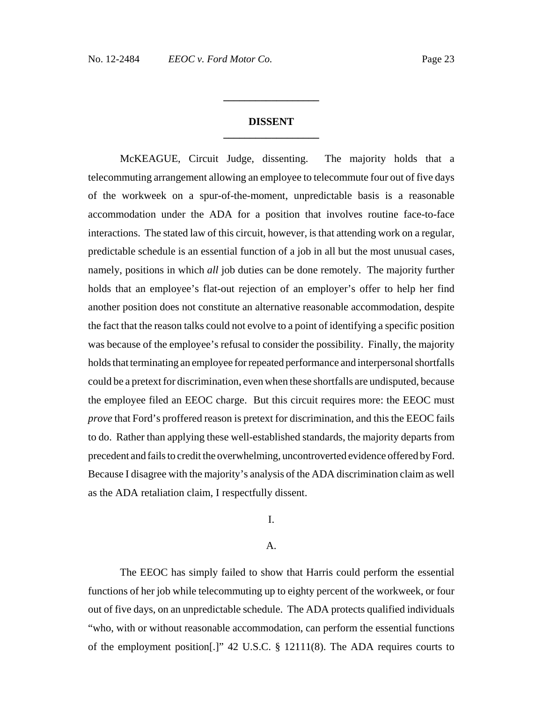## **DISSENT \_\_\_\_\_\_\_\_\_\_\_\_\_\_\_\_\_\_**

**\_\_\_\_\_\_\_\_\_\_\_\_\_\_\_\_\_\_**

McKEAGUE, Circuit Judge, dissenting. The majority holds that a telecommuting arrangement allowing an employee to telecommute four out of five days of the workweek on a spur-of-the-moment, unpredictable basis is a reasonable accommodation under the ADA for a position that involves routine face-to-face interactions. The stated law of this circuit, however, is that attending work on a regular, predictable schedule is an essential function of a job in all but the most unusual cases, namely, positions in which *all* job duties can be done remotely. The majority further holds that an employee's flat-out rejection of an employer's offer to help her find another position does not constitute an alternative reasonable accommodation, despite the fact that the reason talks could not evolve to a point of identifying a specific position was because of the employee's refusal to consider the possibility. Finally, the majority holds that terminating an employee for repeated performance and interpersonal shortfalls could be a pretext for discrimination, even when these shortfalls are undisputed, because the employee filed an EEOC charge. But this circuit requires more: the EEOC must *prove* that Ford's proffered reason is pretext for discrimination, and this the EEOC fails to do. Rather than applying these well-established standards, the majority departs from precedent and fails to credit the overwhelming, uncontroverted evidence offered by Ford. Because I disagree with the majority's analysis of the ADA discrimination claim as well as the ADA retaliation claim, I respectfully dissent.

#### I.

### A.

The EEOC has simply failed to show that Harris could perform the essential functions of her job while telecommuting up to eighty percent of the workweek, or four out of five days, on an unpredictable schedule. The ADA protects qualified individuals "who, with or without reasonable accommodation, can perform the essential functions of the employment position[.]" 42 U.S.C. § 12111(8). The ADA requires courts to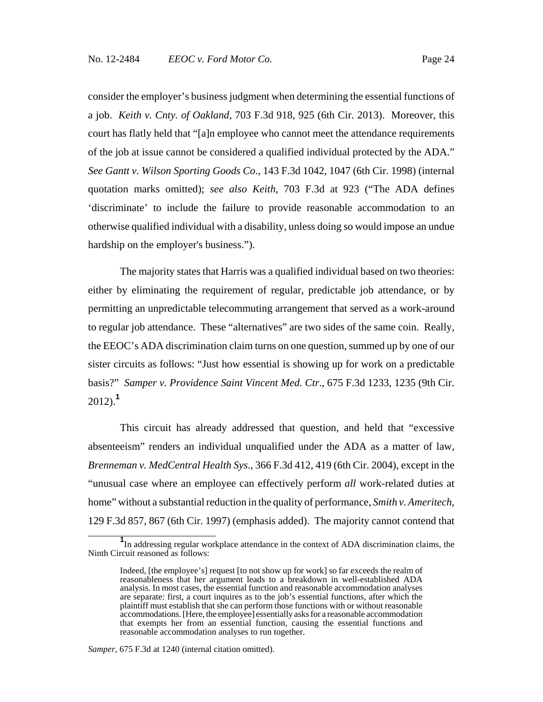consider the employer's business judgment when determining the essential functions of a job. *Keith v. Cnty. of Oakland*, 703 F.3d 918, 925 (6th Cir. 2013). Moreover, this court has flatly held that "[a]n employee who cannot meet the attendance requirements of the job at issue cannot be considered a qualified individual protected by the ADA." *See Gantt v. Wilson Sporting Goods Co*., 143 F.3d 1042, 1047 (6th Cir. 1998) (internal quotation marks omitted); *see also Keith*, 703 F.3d at 923 ("The ADA defines 'discriminate' to include the failure to provide reasonable accommodation to an otherwise qualified individual with a disability, unless doing so would impose an undue hardship on the employer's business.").

The majority states that Harris was a qualified individual based on two theories: either by eliminating the requirement of regular, predictable job attendance, or by permitting an unpredictable telecommuting arrangement that served as a work-around to regular job attendance. These "alternatives" are two sides of the same coin. Really, the EEOC's ADA discrimination claim turns on one question, summed up by one of our sister circuits as follows: "Just how essential is showing up for work on a predictable basis?" *Samper v. Providence Saint Vincent Med. Ctr*., 675 F.3d 1233, 1235 (9th Cir. 2012).**<sup>1</sup>**

This circuit has already addressed that question, and held that "excessive absenteeism" renders an individual unqualified under the ADA as a matter of law, *Brenneman v. MedCentral Health Sys*., 366 F.3d 412, 419 (6th Cir. 2004), except in the "unusual case where an employee can effectively perform *all* work-related duties at home" without a substantial reduction in the quality of performance, *Smith v. Ameritech*, 129 F.3d 857, 867 (6th Cir. 1997) (emphasis added). The majority cannot contend that

**<sup>1</sup>** In addressing regular workplace attendance in the context of ADA discrimination claims, the Ninth Circuit reasoned as follows:

Indeed, [the employee's] request [to not show up for work] so far exceeds the realm of reasonableness that her argument leads to a breakdown in well-established ADA analysis. In most cases, the essential function and reasonable accommodation analyses are separate: first, a court inquires as to the job's essential functions, after which the plaintiff must establish that she can perform those functions with or without reasonable accommodations. [Here, the employee] essentially asks for a reasonable accommodation that exempts her from an essential function, causing the essential functions and reasonable accommodation analyses to run together.

*Samper*, 675 F.3d at 1240 (internal citation omitted).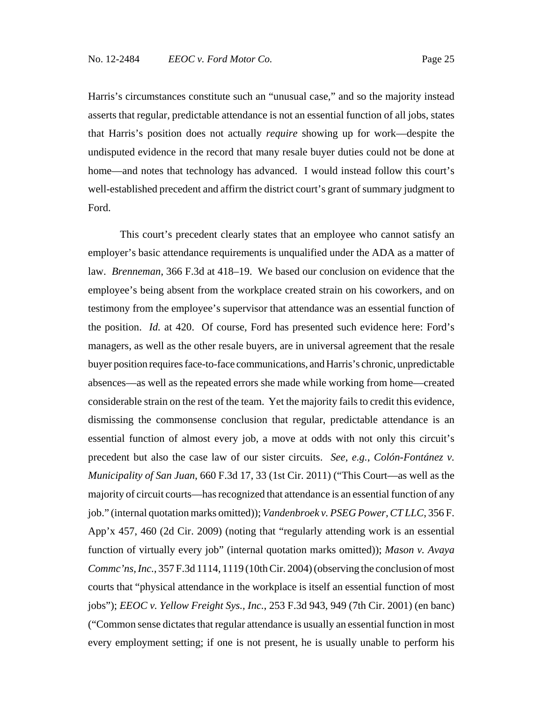Harris's circumstances constitute such an "unusual case," and so the majority instead

asserts that regular, predictable attendance is not an essential function of all jobs, states that Harris's position does not actually *require* showing up for work—despite the undisputed evidence in the record that many resale buyer duties could not be done at home—and notes that technology has advanced. I would instead follow this court's well-established precedent and affirm the district court's grant of summary judgment to Ford.

This court's precedent clearly states that an employee who cannot satisfy an employer's basic attendance requirements is unqualified under the ADA as a matter of law. *Brenneman*, 366 F.3d at 418–19. We based our conclusion on evidence that the employee's being absent from the workplace created strain on his coworkers, and on testimony from the employee's supervisor that attendance was an essential function of the position. *Id.* at 420. Of course, Ford has presented such evidence here: Ford's managers, as well as the other resale buyers, are in universal agreement that the resale buyer position requires face-to-face communications, and Harris's chronic, unpredictable absences—as well as the repeated errors she made while working from home—created considerable strain on the rest of the team. Yet the majority fails to credit this evidence, dismissing the commonsense conclusion that regular, predictable attendance is an essential function of almost every job, a move at odds with not only this circuit's precedent but also the case law of our sister circuits. *See, e.g.*, *Colón-Fontánez v. Municipality of San Juan*, 660 F.3d 17, 33 (1st Cir. 2011) ("This Court—as well as the majority of circuit courts—has recognized that attendance is an essential function of any job." (internal quotation marks omitted)); *Vandenbroek v. PSEG Power, CT LLC*, 356 F. App'x 457, 460 (2d Cir. 2009) (noting that "regularly attending work is an essential function of virtually every job" (internal quotation marks omitted)); *Mason v. Avaya Commc'ns, Inc.*, 357 F.3d 1114, 1119 (10th Cir. 2004) (observing the conclusion of most courts that "physical attendance in the workplace is itself an essential function of most jobs"); *EEOC v. Yellow Freight Sys., Inc.*, 253 F.3d 943, 949 (7th Cir. 2001) (en banc) ("Common sense dictates that regular attendance is usually an essential function in most every employment setting; if one is not present, he is usually unable to perform his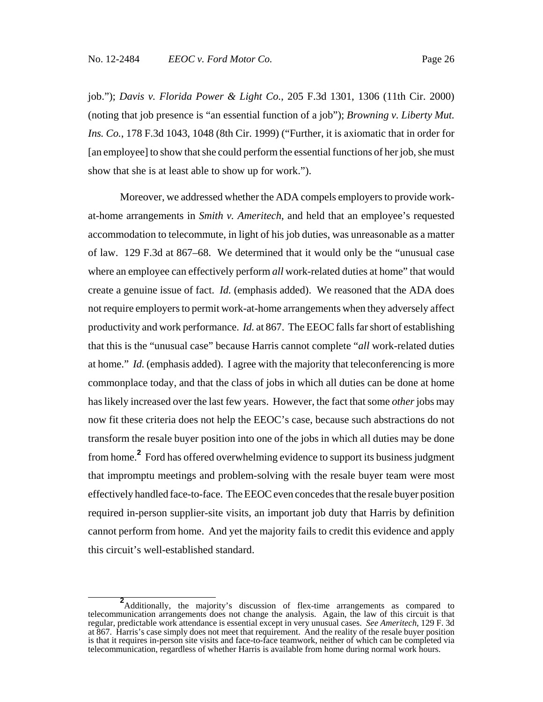job."); *Davis v. Florida Power & Light Co.*, 205 F.3d 1301, 1306 (11th Cir. 2000) (noting that job presence is "an essential function of a job"); *Browning v. Liberty Mut. Ins. Co.*, 178 F.3d 1043, 1048 (8th Cir. 1999) ("Further, it is axiomatic that in order for [an employee] to show that she could perform the essential functions of her job, she must show that she is at least able to show up for work.").

Moreover, we addressed whether the ADA compels employers to provide workat-home arrangements in *Smith v. Ameritech*, and held that an employee's requested accommodation to telecommute, in light of his job duties, was unreasonable as a matter of law. 129 F.3d at 867–68. We determined that it would only be the "unusual case where an employee can effectively perform *all* work-related duties at home" that would create a genuine issue of fact. *Id.* (emphasis added). We reasoned that the ADA does not require employers to permit work-at-home arrangements when they adversely affect productivity and work performance. *Id.* at 867. The EEOC falls far short of establishing that this is the "unusual case" because Harris cannot complete "*all* work-related duties at home." *Id.* (emphasis added). I agree with the majority that teleconferencing is more commonplace today, and that the class of jobs in which all duties can be done at home has likely increased over the last few years. However, the fact that some *other* jobs may now fit these criteria does not help the EEOC's case, because such abstractions do not transform the resale buyer position into one of the jobs in which all duties may be done from home.**<sup>2</sup>** Ford has offered overwhelming evidence to support its business judgment that impromptu meetings and problem-solving with the resale buyer team were most effectively handled face-to-face. The EEOC even concedes that the resale buyer position required in-person supplier-site visits, an important job duty that Harris by definition cannot perform from home. And yet the majority fails to credit this evidence and apply this circuit's well-established standard.

**<sup>2</sup>** Additionally, the majority's discussion of flex-time arrangements as compared to telecommunication arrangements does not change the analysis. Again, the law of this circuit is that regular, predictable work attendance is essential except in very unusual cases. *See Ameritech*, 129 F. 3d at 867. Harris's case simply does not meet that requirement. And the reality of the resale buyer position is that it requires in-person site visits and face-to-face teamwork, neither of which can be completed via telecommunication, regardless of whether Harris is available from home during normal work hours.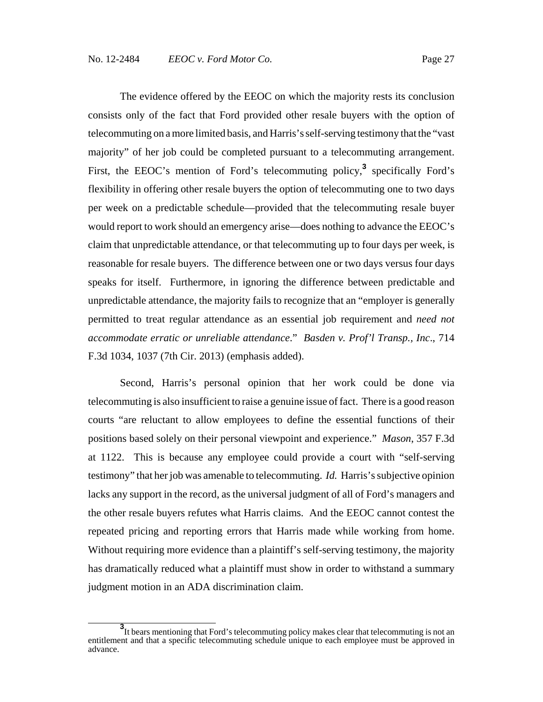The evidence offered by the EEOC on which the majority rests its conclusion consists only of the fact that Ford provided other resale buyers with the option of telecommuting on a more limited basis, and Harris's self-serving testimony that the "vast majority" of her job could be completed pursuant to a telecommuting arrangement. First, the EEOC's mention of Ford's telecommuting policy,<sup>3</sup> specifically Ford's flexibility in offering other resale buyers the option of telecommuting one to two days per week on a predictable schedule—provided that the telecommuting resale buyer would report to work should an emergency arise—does nothing to advance the EEOC's claim that unpredictable attendance, or that telecommuting up to four days per week, is reasonable for resale buyers. The difference between one or two days versus four days speaks for itself. Furthermore, in ignoring the difference between predictable and unpredictable attendance, the majority fails to recognize that an "employer is generally permitted to treat regular attendance as an essential job requirement and *need not accommodate erratic or unreliable attendance*." *Basden v. Prof'l Transp., Inc*., 714 F.3d 1034, 1037 (7th Cir. 2013) (emphasis added).

Second, Harris's personal opinion that her work could be done via telecommuting is also insufficient to raise a genuine issue of fact. There is a good reason courts "are reluctant to allow employees to define the essential functions of their positions based solely on their personal viewpoint and experience." *Mason*, 357 F.3d at 1122. This is because any employee could provide a court with "self-serving testimony" that her job was amenable to telecommuting. *Id.* Harris's subjective opinion lacks any support in the record, as the universal judgment of all of Ford's managers and the other resale buyers refutes what Harris claims. And the EEOC cannot contest the repeated pricing and reporting errors that Harris made while working from home. Without requiring more evidence than a plaintiff's self-serving testimony, the majority has dramatically reduced what a plaintiff must show in order to withstand a summary judgment motion in an ADA discrimination claim.

**<sup>3</sup>** It bears mentioning that Ford's telecommuting policy makes clear that telecommuting is not an entitlement and that a specific telecommuting schedule unique to each employee must be approved in advance.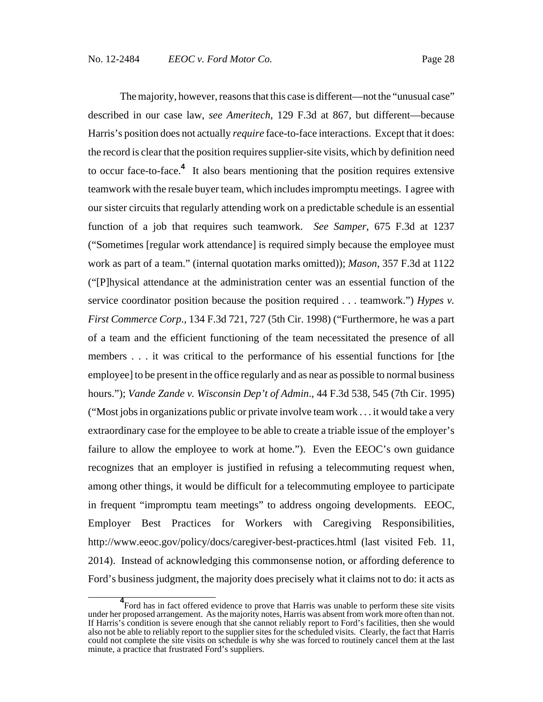The majority, however, reasons that this case is different—not the "unusual case" described in our case law, *see Ameritech*, 129 F.3d at 867, but different—because Harris's position does not actually *require* face-to-face interactions. Except that it does: the record is clear that the position requires supplier-site visits, which by definition need to occur face-to-face.**<sup>4</sup>** It also bears mentioning that the position requires extensive teamwork with the resale buyer team, which includes impromptu meetings. I agree with our sister circuits that regularly attending work on a predictable schedule is an essential function of a job that requires such teamwork. *See Samper*, 675 F.3d at 1237 ("Sometimes [regular work attendance] is required simply because the employee must work as part of a team." (internal quotation marks omitted)); *Mason*, 357 F.3d at 1122 ("[P]hysical attendance at the administration center was an essential function of the service coordinator position because the position required . . . teamwork.") *Hypes v. First Commerce Corp*., 134 F.3d 721, 727 (5th Cir. 1998) ("Furthermore, he was a part of a team and the efficient functioning of the team necessitated the presence of all members . . . it was critical to the performance of his essential functions for [the employee] to be present in the office regularly and as near as possible to normal business hours."); *Vande Zande v. Wisconsin Dep't of Admin*., 44 F.3d 538, 545 (7th Cir. 1995) ("Most jobs in organizations public or private involve team work . . . it would take a very extraordinary case for the employee to be able to create a triable issue of the employer's failure to allow the employee to work at home."). Even the EEOC's own guidance recognizes that an employer is justified in refusing a telecommuting request when, among other things, it would be difficult for a telecommuting employee to participate in frequent "impromptu team meetings" to address ongoing developments. EEOC, Employer Best Practices for Workers with Caregiving Responsibilities, http://www.eeoc.gov/policy/docs/caregiver-best-practices.html (last visited Feb. 11, 2014). Instead of acknowledging this commonsense notion, or affording deference to Ford's business judgment, the majority does precisely what it claims not to do: it acts as

<sup>&</sup>lt;sup>4</sup> Ford has in fact offered evidence to prove that Harris was unable to perform these site visits under her proposed arrangement. As the majority notes, Harris was absent from work more often than not. If Harris's condition is severe enough that she cannot reliably report to Ford's facilities, then she would also not be able to reliably report to the supplier sites for the scheduled visits. Clearly, the fact that Harris could not complete the site visits on schedule is why she was forced to routinely cancel them at the last minute, a practice that frustrated Ford's suppliers.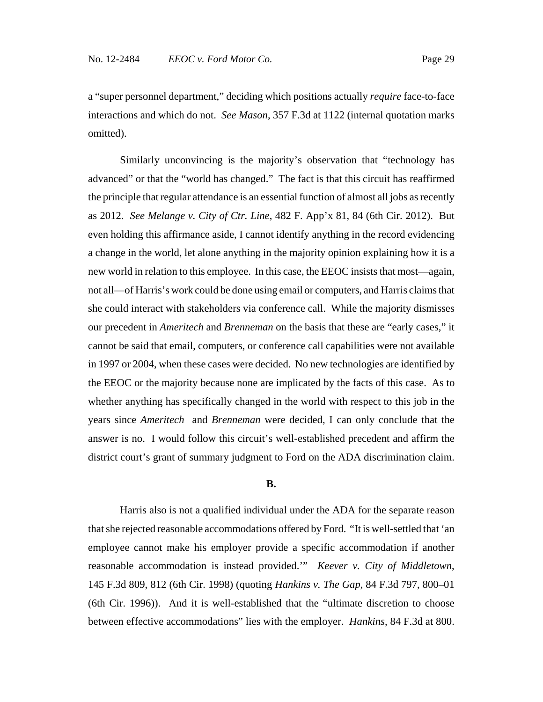a "super personnel department," deciding which positions actually *require* face-to-face interactions and which do not. *See Mason*, 357 F.3d at 1122 (internal quotation marks omitted).

Similarly unconvincing is the majority's observation that "technology has advanced" or that the "world has changed." The fact is that this circuit has reaffirmed the principle that regular attendance is an essential function of almost all jobs as recently as 2012. *See Melange v. City of Ctr. Line*, 482 F. App'x 81, 84 (6th Cir. 2012). But even holding this affirmance aside, I cannot identify anything in the record evidencing a change in the world, let alone anything in the majority opinion explaining how it is a new world in relation to this employee. In this case, the EEOC insists that most—again, not all—of Harris's work could be done using email or computers, and Harris claims that she could interact with stakeholders via conference call. While the majority dismisses our precedent in *Ameritech* and *Brenneman* on the basis that these are "early cases," it cannot be said that email, computers, or conference call capabilities were not available in 1997 or 2004, when these cases were decided. No new technologies are identified by the EEOC or the majority because none are implicated by the facts of this case. As to whether anything has specifically changed in the world with respect to this job in the years since *Ameritech* and *Brenneman* were decided, I can only conclude that the answer is no. I would follow this circuit's well-established precedent and affirm the district court's grant of summary judgment to Ford on the ADA discrimination claim.

## **B.**

Harris also is not a qualified individual under the ADA for the separate reason that she rejected reasonable accommodations offered by Ford. "It is well-settled that 'an employee cannot make his employer provide a specific accommodation if another reasonable accommodation is instead provided.'" *Keever v. City of Middletown*, 145 F.3d 809, 812 (6th Cir. 1998) (quoting *Hankins v. The Gap*, 84 F.3d 797, 800–01 (6th Cir. 1996)). And it is well-established that the "ultimate discretion to choose between effective accommodations" lies with the employer. *Hankins*, 84 F.3d at 800.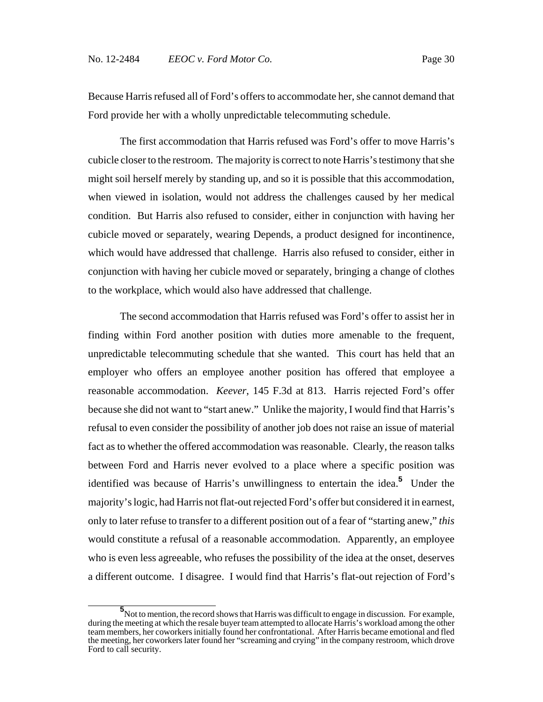Because Harris refused all of Ford's offers to accommodate her, she cannot demand that Ford provide her with a wholly unpredictable telecommuting schedule.

The first accommodation that Harris refused was Ford's offer to move Harris's cubicle closer to the restroom. The majority is correct to note Harris's testimony that she might soil herself merely by standing up, and so it is possible that this accommodation, when viewed in isolation, would not address the challenges caused by her medical condition. But Harris also refused to consider, either in conjunction with having her cubicle moved or separately, wearing Depends, a product designed for incontinence, which would have addressed that challenge. Harris also refused to consider, either in conjunction with having her cubicle moved or separately, bringing a change of clothes to the workplace, which would also have addressed that challenge.

The second accommodation that Harris refused was Ford's offer to assist her in finding within Ford another position with duties more amenable to the frequent, unpredictable telecommuting schedule that she wanted. This court has held that an employer who offers an employee another position has offered that employee a reasonable accommodation. *Keever*, 145 F.3d at 813. Harris rejected Ford's offer because she did not want to "start anew." Unlike the majority, I would find that Harris's refusal to even consider the possibility of another job does not raise an issue of material fact as to whether the offered accommodation was reasonable. Clearly, the reason talks between Ford and Harris never evolved to a place where a specific position was identified was because of Harris's unwillingness to entertain the idea.**<sup>5</sup>** Under the majority's logic, had Harris not flat-out rejected Ford's offer but considered it in earnest, only to later refuse to transfer to a different position out of a fear of "starting anew," *this* would constitute a refusal of a reasonable accommodation. Apparently, an employee who is even less agreeable, who refuses the possibility of the idea at the onset, deserves a different outcome. I disagree. I would find that Harris's flat-out rejection of Ford's

**<sup>5</sup>**<br>Not to mention, the record shows that Harris was difficult to engage in discussion. For example, during the meeting at which the resale buyer team attempted to allocate Harris's workload among the other team members, her coworkers initially found her confrontational. After Harris became emotional and fled the meeting, her coworkers later found her "screaming and crying" in the company restroom, which drove Ford to call security.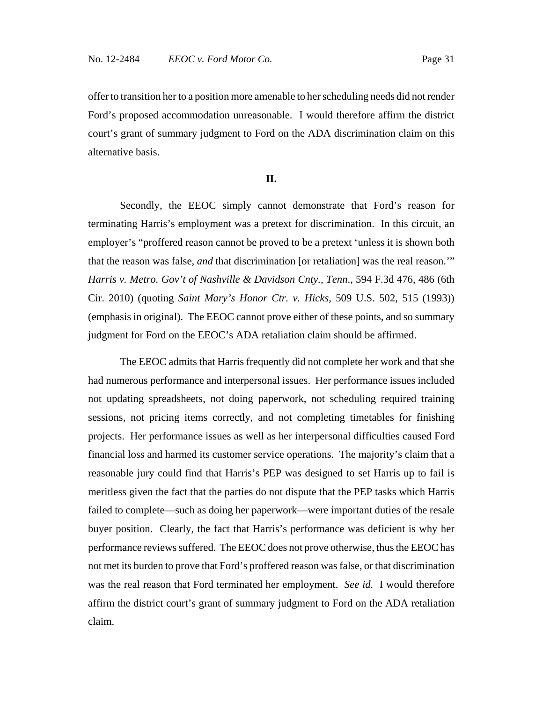offer to transition her to a position more amenable to her scheduling needs did not render Ford's proposed accommodation unreasonable. I would therefore affirm the district court's grant of summary judgment to Ford on the ADA discrimination claim on this alternative basis.

#### **II.**

Secondly, the EEOC simply cannot demonstrate that Ford's reason for terminating Harris's employment was a pretext for discrimination. In this circuit, an employer's "proffered reason cannot be proved to be a pretext 'unless it is shown both that the reason was false, *and* that discrimination [or retaliation] was the real reason.'" *Harris v. Metro. Gov't of Nashville & Davidson Cnty., Tenn*., 594 F.3d 476, 486 (6th Cir. 2010) (quoting *Saint Mary's Honor Ctr. v. Hicks*, 509 U.S. 502, 515 (1993)) (emphasis in original). The EEOC cannot prove either of these points, and so summary judgment for Ford on the EEOC's ADA retaliation claim should be affirmed.

The EEOC admits that Harris frequently did not complete her work and that she had numerous performance and interpersonal issues. Her performance issues included not updating spreadsheets, not doing paperwork, not scheduling required training sessions, not pricing items correctly, and not completing timetables for finishing projects. Her performance issues as well as her interpersonal difficulties caused Ford financial loss and harmed its customer service operations. The majority's claim that a reasonable jury could find that Harris's PEP was designed to set Harris up to fail is meritless given the fact that the parties do not dispute that the PEP tasks which Harris failed to complete—such as doing her paperwork—were important duties of the resale buyer position. Clearly, the fact that Harris's performance was deficient is why her performance reviews suffered. The EEOC does not prove otherwise, thus the EEOC has not met its burden to prove that Ford's proffered reason was false, or that discrimination was the real reason that Ford terminated her employment. *See id.* I would therefore affirm the district court's grant of summary judgment to Ford on the ADA retaliation claim.